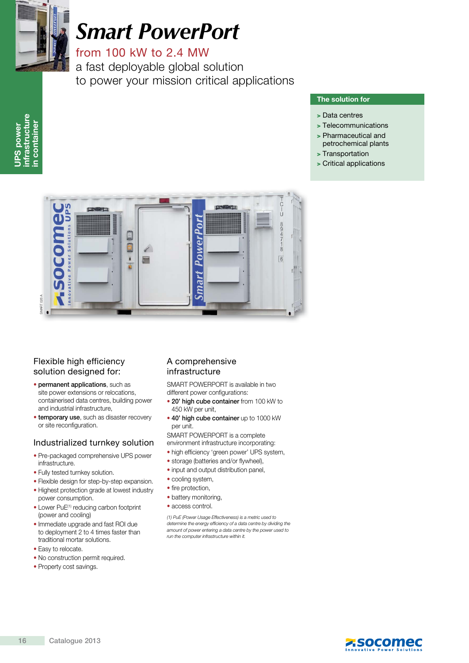

UPS power infrastructure in container

**UPS power** 

infrastructure container

 $\epsilon$ 

# *Smart PowerPort*

from 100 kW to 2.4 MW

a fast deployable global solution to power your mission critical applications

#### The solution for

- > Data centres
- > Telecommunications
- > Pharmaceutical and petrochemical plants
- > Transportation
- > Critical applications



## Flexible high efficiency solution designed for:

- permanent applications, such as site power extensions or relocations, containerised data centres, building power and industrial infrastructure,
- **temporary use**, such as disaster recovery or site reconfiguration.

#### Industrialized turnkey solution

- Pre-packaged comprehensive UPS power infrastructure.
- Fully tested turnkey solution.
- Flexible design for step-by-step expansion. • Highest protection grade at lowest industry
- power consumption.
- Lower PuE<sup>(1)</sup> reducing carbon footprint (power and cooling)
- Immediate upgrade and fast ROI due to deployment 2 to 4 times faster than traditional mortar solutions.
- Easy to relocate.
- No construction permit required.
- Property cost savings.

### A comprehensive infrastructure

SMART POWERPORT is available in two different power configurations:

- 20' high cube container from 100 kW to 450 kW per unit,
- 40' high cube container up to 1000 kW per unit.

SMART POWERPORT is a complete environment infrastructure incorporating:

- high efficiency 'green power' UPS system,
- storage (batteries and/or flywheel),
- input and output distribution panel,
- cooling system,
- fire protection,
- battery monitoring,
- access control.

(1) PuE (Power Usage Effectiveness) is a metric used to determine the energy efficiency of a data centre by dividing the amount of power entering a data centre by the power used to run the computer infrastructure within it.